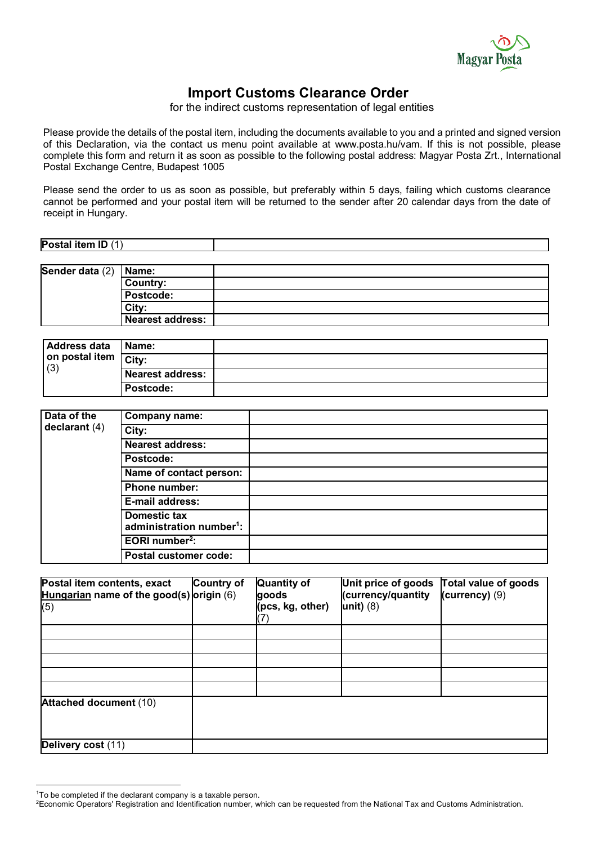

## **Import Customs Clearance Order**

for the indirect customs representation of legal entities

Please provide the details of the postal item, including the documents available to you and a printed and signed version of this Declaration, via the contact us menu point available at www.posta.hu/vam. If this is not possible, please complete this form and return it as soon as possible to the following postal address: Magyar Posta Zrt., International Postal Exchange Centre, Budapest 1005

Please send the order to us as soon as possible, but preferably within 5 days, failing which customs clearance cannot be performed and your postal item will be returned to the sender after 20 calendar days from the date of receipt in Hungary.

| Postal item ID (1)      |  |
|-------------------------|--|
|                         |  |
| Sender data $(2)$ Name: |  |
|                         |  |

| _ _ _ _ _ _ _ _ _ _ _ _<br>$\sim$ | - - - - - - - - -       |  |
|-----------------------------------|-------------------------|--|
|                                   | Country:                |  |
|                                   | <b>Postcode:</b>        |  |
|                                   | <b>City</b>             |  |
|                                   | <b>Nearest address:</b> |  |
|                                   |                         |  |

| <b>Address data</b><br>on postal item City:<br>(3) | <b>Name:</b>     |  |
|----------------------------------------------------|------------------|--|
|                                                    |                  |  |
|                                                    | Nearest address: |  |
|                                                    | Postcode:        |  |

| Data of the<br>declarant $(4)$ | Company name:                                        |  |
|--------------------------------|------------------------------------------------------|--|
|                                | City:                                                |  |
|                                | Nearest address:                                     |  |
|                                | Postcode:                                            |  |
|                                | Name of contact person:                              |  |
|                                | Phone number:                                        |  |
|                                | E-mail address:                                      |  |
|                                | Domestic tax<br>administration number <sup>1</sup> : |  |
|                                | EORI number <sup>2</sup> :                           |  |
|                                | Postal customer code:                                |  |

| Postal item contents, exact<br>Hungarian name of the good(s) origin $(6)$<br>(5) | <b>Country of</b> | <b>Quantity of</b><br>goods<br>(pcs, kg, other) | Unit price of goods<br>(currency/quantity<br>unit) $(8)$ | Total value of goods<br>(currency) (9) |
|----------------------------------------------------------------------------------|-------------------|-------------------------------------------------|----------------------------------------------------------|----------------------------------------|
|                                                                                  |                   |                                                 |                                                          |                                        |
|                                                                                  |                   |                                                 |                                                          |                                        |
|                                                                                  |                   |                                                 |                                                          |                                        |
| <b>Attached document (10)</b>                                                    |                   |                                                 |                                                          |                                        |
| Delivery cost (11)                                                               |                   |                                                 |                                                          |                                        |

<span id="page-0-0"></span><sup>&</sup>lt;sup>1</sup>To be completed if the declarant company is a taxable person.

<span id="page-0-1"></span><sup>2</sup> Economic Operators' Registration and Identification number, which can be requested from the National Tax and Customs Administration.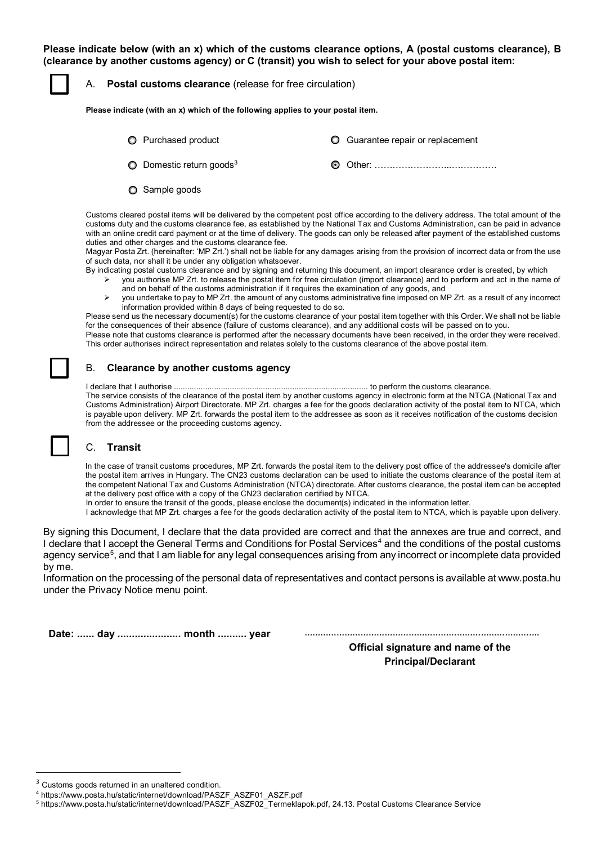**Please indicate below (with an x) which of the customs clearance options, A (postal customs clearance), B (clearance by another customs agency) or C (transit) you wish to select for your above postal item:**

A. **Postal customs clearance** (release for free circulation)

**Please indicate (with an x) which of the following applies to your postal item.**

- Purchased product Guarantee repair or replacement ○ Domestic return goods<sup>[3](#page-1-0)</sup> △ △ △ △ △ △ ① Other: ………………………………………………………………………………………
- **O** Sample goods

Customs cleared postal items will be delivered by the competent post office according to the delivery address. The total amount of the customs duty and the customs clearance fee, as established by the National Tax and Customs Administration, can be paid in advance with an online credit card payment or at the time of delivery. The goods can only be released after payment of the established customs duties and other charges and the customs clearance fee.

Magyar Posta Zrt. (hereinafter: 'MP Zrt.') shall not be liable for any damages arising from the provision of incorrect data or from the use of such data, nor shall it be under any obligation whatsoever.

By indicating postal customs clearance and by signing and returning this document, an import clearance order is created, by which

- you authorise MP Zrt. to release the postal item for free circulation (import clearance) and to perform and act in the name of and on behalf of the customs administration if it requires the examination of any goods, and
- you undertake to pay to MP Zrt. the amount of any customs administrative fine imposed on MP Zrt. as a result of any incorrect information provided within 8 days of being requested to do so.

Please send us the necessary document(s) for the customs clearance of your postal item together with this Order. We shall not be liable for the consequences of their absence (failure of customs clearance), and any additional costs will be passed on to you.

Please note that customs clearance is performed after the necessary documents have been received, in the order they were received. This order authorises indirect representation and relates solely to the customs clearance of the above postal item.

## B. **Clearance by another customs agency**

I declare that I authorise ....................................................................................... to perform the customs clearance. The service consists of the clearance of the postal item by another customs agency in electronic form at the NTCA (National Tax and Customs Administration) Airport Directorate. MP Zrt. charges a fee for the goods declaration activity of the postal item to NTCA, which is payable upon delivery. MP Zrt. forwards the postal item to the addressee as soon as it receives notification of the customs decision from the addressee or the proceeding customs agency.

## C. **Transit**

In the case of transit customs procedures, MP Zrt. forwards the postal item to the delivery post office of the addressee's domicile after the postal item arrives in Hungary. The CN23 customs declaration can be used to initiate the customs clearance of the postal item at the competent National Tax and Customs Administration (NTCA) directorate. After customs clearance, the postal item can be accepted at the delivery post office with a copy of the CN23 declaration certified by NTCA.

In order to ensure the transit of the goods, please enclose the document(s) indicated in the information letter.

I acknowledge that MP Zrt. charges a fee for the goods declaration activity of the postal item to NTCA, which is payable upon delivery.

By signing this Document, I declare that the data provided are correct and that the annexes are true and correct, and I declare that I accept the General Terms and Conditions for Postal Services<sup>[4](#page-1-1)</sup> and the conditions of the postal customs agency service<sup>5</sup>, and that I am liable for any legal consequences arising from any incorrect or incomplete data provided by me.

Information on the processing of the personal data of representatives and contact persons is available at www.posta.hu under the Privacy Notice menu point.

|  |  | Date:  day  month  year |  |  |
|--|--|-------------------------|--|--|
|--|--|-------------------------|--|--|

**Date: ...... day ...................... month .......... year …………………………………………………………………………….**

**Official signature and name of the Principal/Declarant**

<span id="page-1-0"></span><sup>&</sup>lt;sup>3</sup> Customs goods returned in an unaltered condition.

<span id="page-1-1"></span><sup>4</sup> https://www.posta.hu/static/internet/download/PASZF\_ASZF01\_ASZF.pdf

<span id="page-1-2"></span><sup>5</sup> https://www.posta.hu/static/internet/download/PASZF\_ASZF02\_Termeklapok.pdf, 24.13. Postal Customs Clearance Service